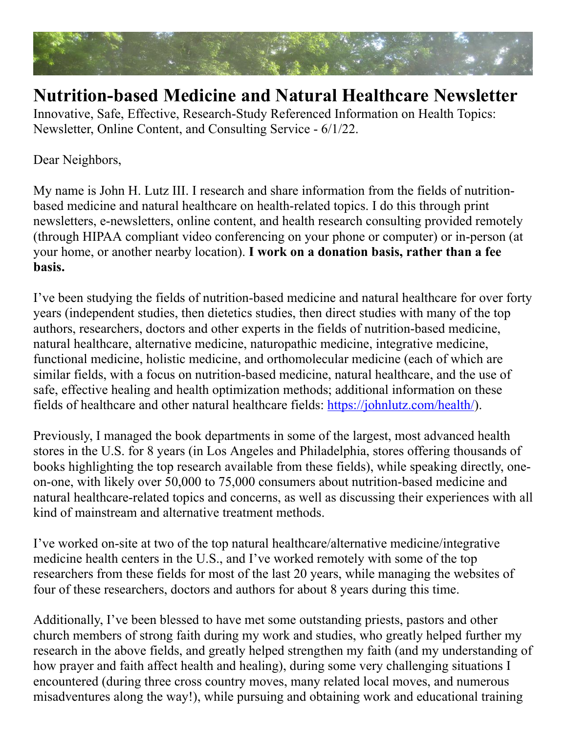

## **Nutrition-based Medicine and Natural Healthcare Newsletter**

Innovative, Safe, Effective, Research-Study Referenced Information on Health Topics: Newsletter, Online Content, and Consulting Service - 6/1/22.

Dear Neighbors,

My name is John H. Lutz III. I research and share information from the fields of nutritionbased medicine and natural healthcare on health-related topics. I do this through print newsletters, e-newsletters, online content, and health research consulting provided remotely (through HIPAA compliant video conferencing on your phone or computer) or in-person (at your home, or another nearby location). **I work on a donation basis, rather than a fee basis.**

I've been studying the fields of nutrition-based medicine and natural healthcare for over forty years (independent studies, then dietetics studies, then direct studies with many of the top authors, researchers, doctors and other experts in the fields of nutrition-based medicine, natural healthcare, alternative medicine, naturopathic medicine, integrative medicine, functional medicine, holistic medicine, and orthomolecular medicine (each of which are similar fields, with a focus on nutrition-based medicine, natural healthcare, and the use of safe, effective healing and health optimization methods; additional information on these fields of healthcare and other natural healthcare fields: <https://johnlutz.com/health/>).

Previously, I managed the book departments in some of the largest, most advanced health stores in the U.S. for 8 years (in Los Angeles and Philadelphia, stores offering thousands of books highlighting the top research available from these fields), while speaking directly, oneon-one, with likely over 50,000 to 75,000 consumers about nutrition-based medicine and natural healthcare-related topics and concerns, as well as discussing their experiences with all kind of mainstream and alternative treatment methods.

I've worked on-site at two of the top natural healthcare/alternative medicine/integrative medicine health centers in the U.S., and I've worked remotely with some of the top researchers from these fields for most of the last 20 years, while managing the websites of four of these researchers, doctors and authors for about 8 years during this time.

Additionally, I've been blessed to have met some outstanding priests, pastors and other church members of strong faith during my work and studies, who greatly helped further my research in the above fields, and greatly helped strengthen my faith (and my understanding of how prayer and faith affect health and healing), during some very challenging situations I encountered (during three cross country moves, many related local moves, and numerous misadventures along the way!), while pursuing and obtaining work and educational training